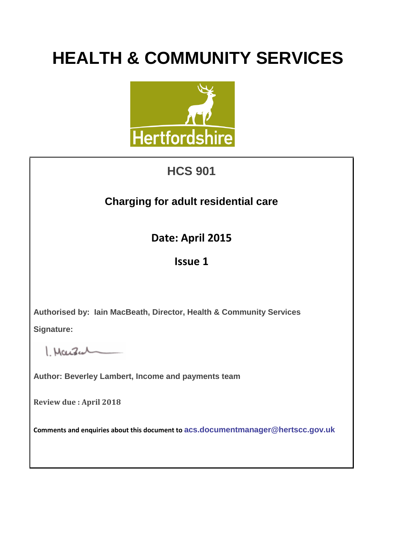# **HEALTH & COMMUNITY SERVICES**



## **HCS 901**

### **Charging for adult residential care**

**Date: April 2015**

### **Issue 1**

**Authorised by: Iain MacBeath, Director, Health & Community Services**

**Signature:** 

 $Mouleal$ 

**Author: Beverley Lambert, Income and payments team**

**Review due : April 2018**

**Comments and enquiries about this document to [acs.documentmanager@hertscc.gov.uk](mailto:acs.documentmanager@hertscc.gov.uk)**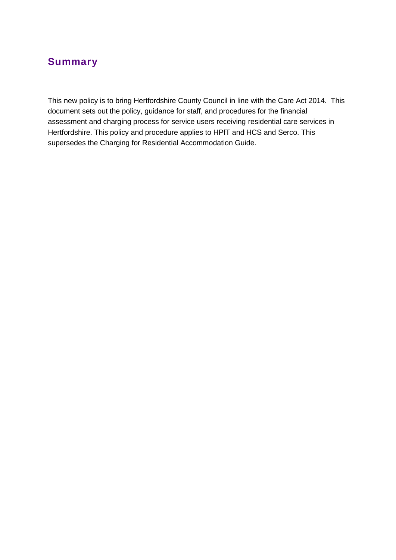### **Summary**

This new policy is to bring Hertfordshire County Council in line with the Care Act 2014. This document sets out the policy, guidance for staff, and procedures for the financial assessment and charging process for service users receiving residential care services in Hertfordshire. This policy and procedure applies to HPfT and HCS and Serco. This supersedes the Charging for Residential Accommodation Guide.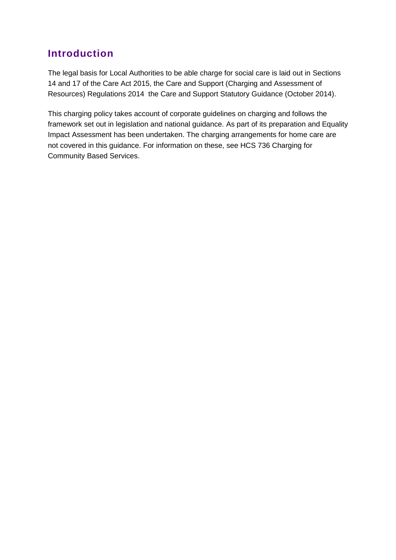### **Introduction**

The legal basis for Local Authorities to be able charge for social care is laid out in Sections 14 and 17 of the Care Act 2015, the Care and Support (Charging and Assessment of Resources) Regulations 2014 the Care and Support Statutory Guidance (October 2014).

This charging policy takes account of corporate guidelines on charging and follows the framework set out in legislation and national guidance. As part of its preparation and Equality Impact Assessment has been undertaken. The charging arrangements for home care are not covered in this guidance. For information on these, see HCS 736 Charging for Community Based Services.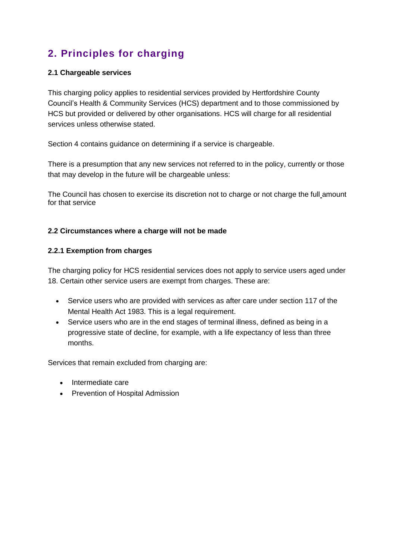### **2. Principles for charging**

#### **2.1 Chargeable services**

This charging policy applies to residential services provided by Hertfordshire County Council's Health & Community Services (HCS) department and to those commissioned by HCS but provided or delivered by other organisations. HCS will charge for all residential services unless otherwise stated.

Section 4 contains guidance on determining if a service is chargeable.

There is a presumption that any new services not referred to in the policy, currently or those that may develop in the future will be chargeable unless:

The Council has chosen to exercise its discretion not to charge or not charge the full amount for that service

#### **2.2 Circumstances where a charge will not be made**

#### **2.2.1 Exemption from charges**

The charging policy for HCS residential services does not apply to service users aged under 18. Certain other service users are exempt from charges. These are:

- Service users who are provided with services as after care under section 117 of the Mental Health Act 1983. This is a legal requirement.
- Service users who are in the end stages of terminal illness, defined as being in a progressive state of decline, for example, with a life expectancy of less than three months.

Services that remain excluded from charging are:

- Intermediate care
- Prevention of Hospital Admission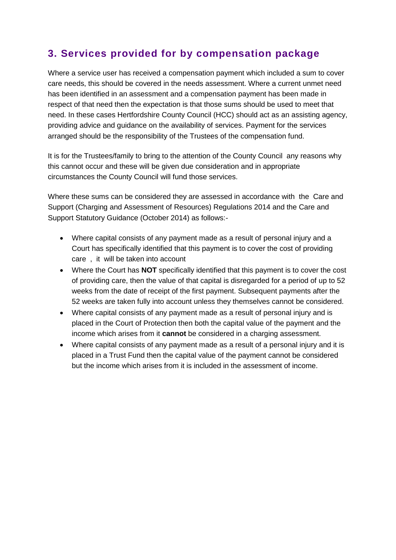### **3. Services provided for by compensation package**

Where a service user has received a compensation payment which included a sum to cover care needs, this should be covered in the needs assessment. Where a current unmet need has been identified in an assessment and a compensation payment has been made in respect of that need then the expectation is that those sums should be used to meet that need. In these cases Hertfordshire County Council (HCC) should act as an assisting agency, providing advice and guidance on the availability of services. Payment for the services arranged should be the responsibility of the Trustees of the compensation fund.

It is for the Trustees/family to bring to the attention of the County Council any reasons why this cannot occur and these will be given due consideration and in appropriate circumstances the County Council will fund those services.

Where these sums can be considered they are assessed in accordance with the Care and Support (Charging and Assessment of Resources) Regulations 2014 and the Care and Support Statutory Guidance (October 2014) as follows:-

- Where capital consists of any payment made as a result of personal injury and a Court has specifically identified that this payment is to cover the cost of providing care , it will be taken into account
- Where the Court has **NOT** specifically identified that this payment is to cover the cost of providing care, then the value of that capital is disregarded for a period of up to 52 weeks from the date of receipt of the first payment. Subsequent payments after the 52 weeks are taken fully into account unless they themselves cannot be considered.
- Where capital consists of any payment made as a result of personal injury and is placed in the Court of Protection then both the capital value of the payment and the income which arises from it **cannot** be considered in a charging assessment.
- Where capital consists of any payment made as a result of a personal injury and it is placed in a Trust Fund then the capital value of the payment cannot be considered but the income which arises from it is included in the assessment of income.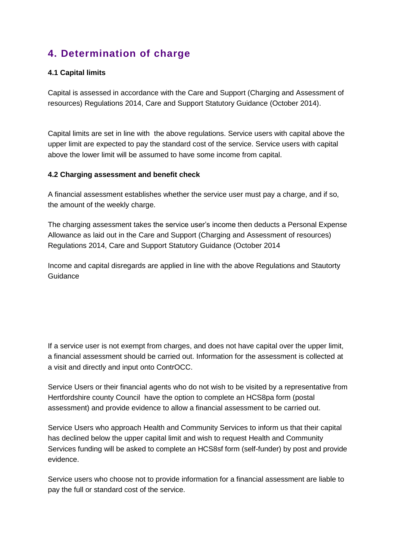### **4. Determination of charge**

#### **4.1 Capital limits**

Capital is assessed in accordance with the Care and Support (Charging and Assessment of resources) Regulations 2014, Care and Support Statutory Guidance (October 2014).

Capital limits are set in line with the above regulations. Service users with capital above the upper limit are expected to pay the standard cost of the service. Service users with capital above the lower limit will be assumed to have some income from capital.

#### **4.2 Charging assessment and benefit check**

A financial assessment establishes whether the service user must pay a charge, and if so, the amount of the weekly charge.

The charging assessment takes the service user's income then deducts a Personal Expense Allowance as laid out in the Care and Support (Charging and Assessment of resources) Regulations 2014, Care and Support Statutory Guidance (October 2014

Income and capital disregards are applied in line with the above Regulations and Stautorty **Guidance** 

If a service user is not exempt from charges, and does not have capital over the upper limit, a financial assessment should be carried out. Information for the assessment is collected at a visit and directly and input onto ContrOCC.

Service Users or their financial agents who do not wish to be visited by a representative from Hertfordshire county Council have the option to complete an HCS8pa form (postal assessment) and provide evidence to allow a financial assessment to be carried out.

Service Users who approach Health and Community Services to inform us that their capital has declined below the upper capital limit and wish to request Health and Community Services funding will be asked to complete an HCS8sf form (self-funder) by post and provide evidence.

Service users who choose not to provide information for a financial assessment are liable to pay the full or standard cost of the service.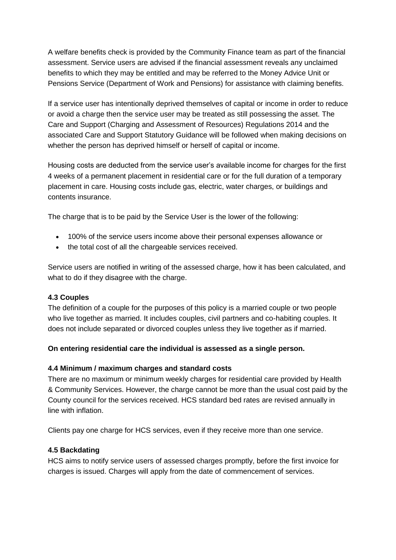A welfare benefits check is provided by the Community Finance team as part of the financial assessment. Service users are advised if the financial assessment reveals any unclaimed benefits to which they may be entitled and may be referred to the Money Advice Unit or Pensions Service (Department of Work and Pensions) for assistance with claiming benefits.

If a service user has intentionally deprived themselves of capital or income in order to reduce or avoid a charge then the service user may be treated as still possessing the asset. The Care and Support (Charging and Assessment of Resources) Regulations 2014 and the associated Care and Support Statutory Guidance will be followed when making decisions on whether the person has deprived himself or herself of capital or income.

Housing costs are deducted from the service user's available income for charges for the first 4 weeks of a permanent placement in residential care or for the full duration of a temporary placement in care. Housing costs include gas, electric, water charges, or buildings and contents insurance.

The charge that is to be paid by the Service User is the lower of the following:

- 100% of the service users income above their personal expenses allowance or
- the total cost of all the chargeable services received.

Service users are notified in writing of the assessed charge, how it has been calculated, and what to do if they disagree with the charge.

#### **4.3 Couples**

The definition of a couple for the purposes of this policy is a married couple or two people who live together as married. It includes couples, civil partners and co-habiting couples. It does not include separated or divorced couples unless they live together as if married.

#### **On entering residential care the individual is assessed as a single person.**

#### **4.4 Minimum / maximum charges and standard costs**

There are no maximum or minimum weekly charges for residential care provided by Health & Community Services. However, the charge cannot be more than the usual cost paid by the County council for the services received. HCS standard bed rates are revised annually in line with inflation.

Clients pay one charge for HCS services, even if they receive more than one service.

#### **4.5 Backdating**

HCS aims to notify service users of assessed charges promptly, before the first invoice for charges is issued. Charges will apply from the date of commencement of services.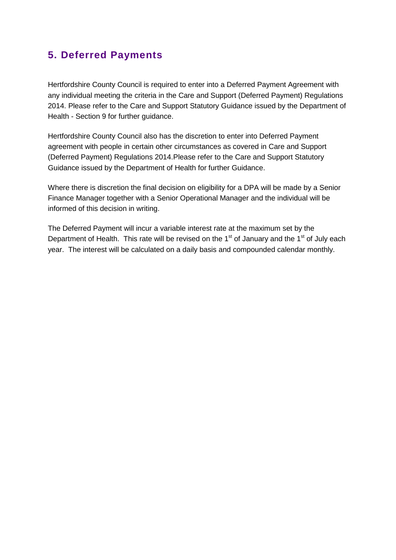### **5. Deferred Payments**

Hertfordshire County Council is required to enter into a Deferred Payment Agreement with any individual meeting the criteria in the Care and Support (Deferred Payment) Regulations 2014. Please refer to the Care and Support Statutory Guidance issued by the Department of Health - Section 9 for further guidance.

Hertfordshire County Council also has the discretion to enter into Deferred Payment agreement with people in certain other circumstances as covered in Care and Support (Deferred Payment) Regulations 2014.Please refer to the Care and Support Statutory Guidance issued by the Department of Health for further Guidance.

Where there is discretion the final decision on eligibility for a DPA will be made by a Senior Finance Manager together with a Senior Operational Manager and the individual will be informed of this decision in writing.

The Deferred Payment will incur a variable interest rate at the maximum set by the Department of Health. This rate will be revised on the  $1<sup>st</sup>$  of January and the  $1<sup>st</sup>$  of July each year. The interest will be calculated on a daily basis and compounded calendar monthly.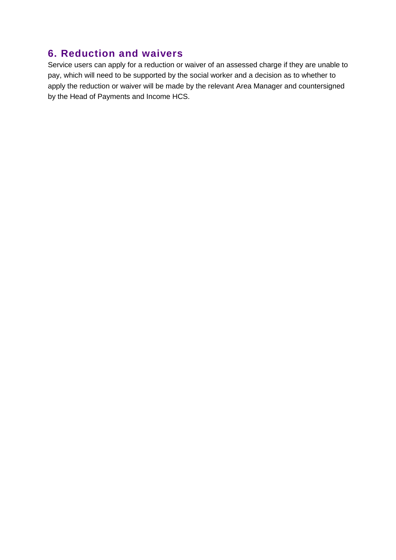### **6. Reduction and waivers**

Service users can apply for a reduction or waiver of an assessed charge if they are unable to pay, which will need to be supported by the social worker and a decision as to whether to apply the reduction or waiver will be made by the relevant Area Manager and countersigned by the Head of Payments and Income HCS.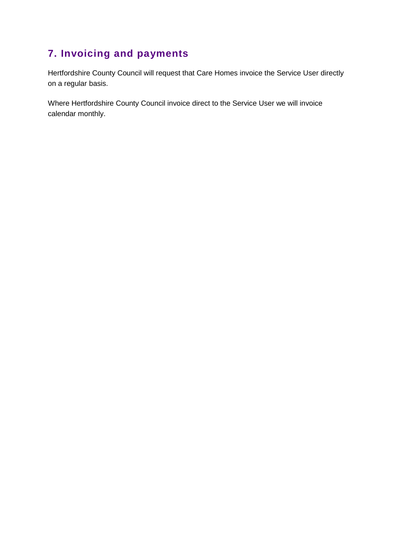### **7. Invoicing and payments**

Hertfordshire County Council will request that Care Homes invoice the Service User directly on a regular basis.

Where Hertfordshire County Council invoice direct to the Service User we will invoice calendar monthly.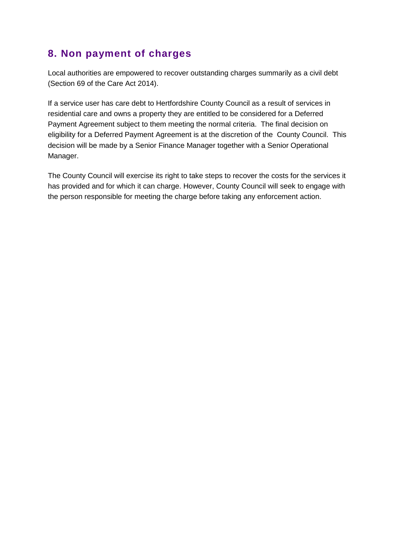### **8. Non payment of charges**

Local authorities are empowered to recover outstanding charges summarily as a civil debt (Section 69 of the Care Act 2014).

If a service user has care debt to Hertfordshire County Council as a result of services in residential care and owns a property they are entitled to be considered for a Deferred Payment Agreement subject to them meeting the normal criteria. The final decision on eligibility for a Deferred Payment Agreement is at the discretion of the County Council. This decision will be made by a Senior Finance Manager together with a Senior Operational Manager.

The County Council will exercise its right to take steps to recover the costs for the services it has provided and for which it can charge. However, County Council will seek to engage with the person responsible for meeting the charge before taking any enforcement action.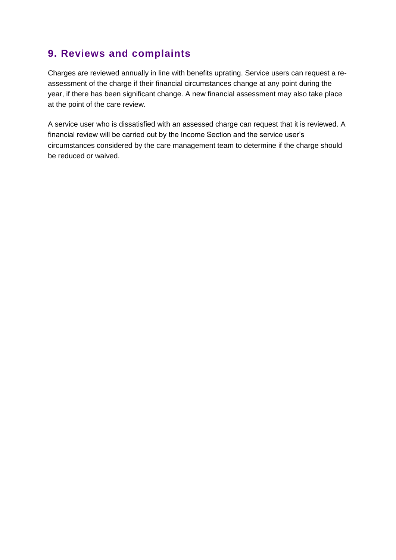### **9. Reviews and complaints**

Charges are reviewed annually in line with benefits uprating. Service users can request a reassessment of the charge if their financial circumstances change at any point during the year, if there has been significant change. A new financial assessment may also take place at the point of the care review.

A service user who is dissatisfied with an assessed charge can request that it is reviewed. A financial review will be carried out by the Income Section and the service user's circumstances considered by the care management team to determine if the charge should be reduced or waived.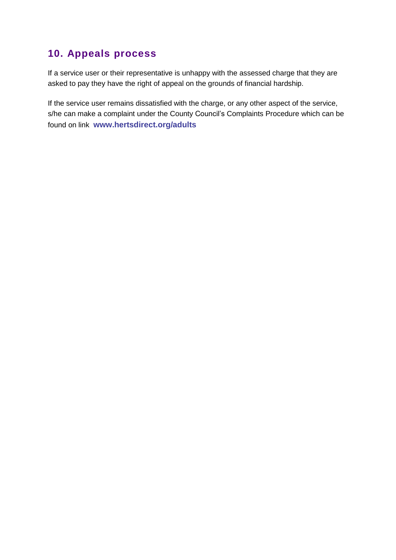### **10. Appeals process**

If a service user or their representative is unhappy with the assessed charge that they are asked to pay they have the right of appeal on the grounds of financial hardship.

If the service user remains dissatisfied with the charge, or any other aspect of the service, s/he can make a complaint under the County Council's Complaints Procedure which can be found on link **[www.hertsdirect.org/adults](http://www.hertsdirect.org/adults)**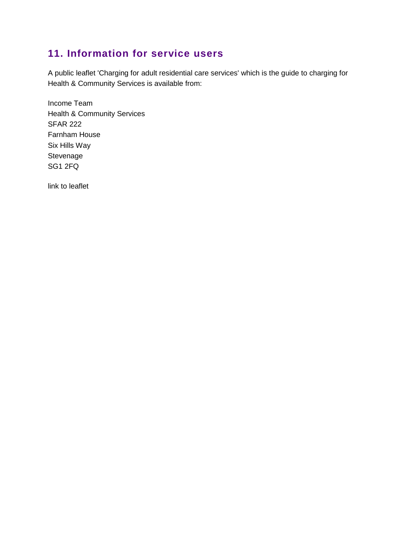### **11. Information for service users**

A public leaflet 'Charging for adult residential care services' which is the guide to charging for Health & Community Services is available from:

Income Team Health & Community Services SFAR 222 Farnham House Six Hills Way Stevenage SG1 2FQ

link to leaflet